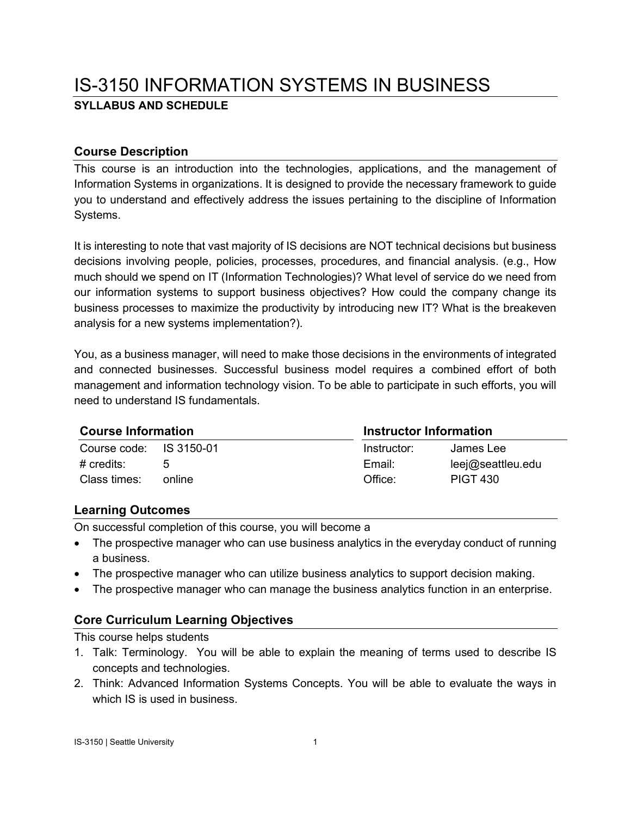# IS-3150 INFORMATION SYSTEMS IN BUSINESS **SYLLABUS AND SCHEDULE**

## **Course Description**

This course is an introduction into the technologies, applications, and the management of Information Systems in organizations. It is designed to provide the necessary framework to guide you to understand and effectively address the issues pertaining to the discipline of Information Systems.

It is interesting to note that vast majority of IS decisions are NOT technical decisions but business decisions involving people, policies, processes, procedures, and financial analysis. (e.g., How much should we spend on IT (Information Technologies)? What level of service do we need from our information systems to support business objectives? How could the company change its business processes to maximize the productivity by introducing new IT? What is the breakeven analysis for a new systems implementation?).

You, as a business manager, will need to make those decisions in the environments of integrated and connected businesses. Successful business model requires a combined effort of both management and information technology vision. To be able to participate in such efforts, you will need to understand IS fundamentals.

#### **Course Information Instructor Information**

| OUGIUS IIIIVIIIIGUSII   |             | 1119889001 11119111198911 |  |
|-------------------------|-------------|---------------------------|--|
| Course code: IS 3150-01 | Instructor: | James Lee                 |  |
|                         | Email:      | leej@seattleu.edu         |  |
| online                  | Office:     | <b>PIGT 430</b>           |  |
|                         |             |                           |  |

#### **Learning Outcomes**

On successful completion of this course, you will become a

- The prospective manager who can use business analytics in the everyday conduct of running a business.
- The prospective manager who can utilize business analytics to support decision making.
- The prospective manager who can manage the business analytics function in an enterprise.

## **Core Curriculum Learning Objectives**

This course helps students

- 1. Talk: Terminology. You will be able to explain the meaning of terms used to describe IS concepts and technologies.
- 2. Think: Advanced Information Systems Concepts. You will be able to evaluate the ways in which IS is used in business.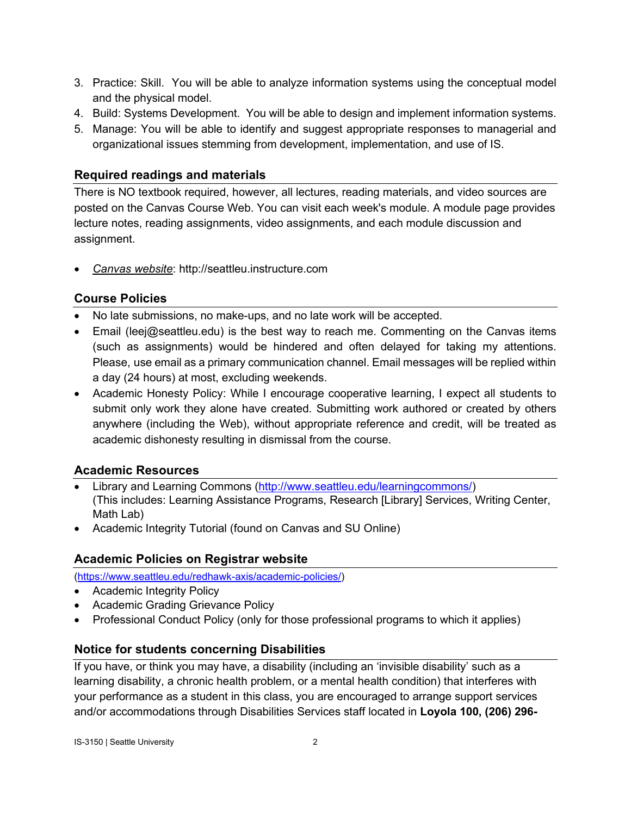- 3. Practice: Skill. You will be able to analyze information systems using the conceptual model and the physical model.
- 4. Build: Systems Development. You will be able to design and implement information systems.
- 5. Manage: You will be able to identify and suggest appropriate responses to managerial and organizational issues stemming from development, implementation, and use of IS.

## **Required readings and materials**

There is NO textbook required, however, all lectures, reading materials, and video sources are posted on the Canvas Course Web. You can visit each week's module. A module page provides lecture notes, reading assignments, video assignments, and each module discussion and assignment.

• *Canvas website*: http://seattleu.instructure.com

## **Course Policies**

- No late submissions, no make-ups, and no late work will be accepted.
- Email [\(leej@seattleu.edu\)](mailto:leej@seattleu.edu) is the best way to reach me. Commenting on the Canvas items (such as assignments) would be hindered and often delayed for taking my attentions. Please, use email as a primary communication channel. Email messages will be replied within a day (24 hours) at most, excluding weekends.
- Academic Honesty Policy: While I encourage cooperative learning, I expect all students to submit only work they alone have created. Submitting work authored or created by others anywhere (including the Web), without appropriate reference and credit, will be treated as academic dishonesty resulting in dismissal from the course.

## **Academic Resources**

- Library and Learning Commons [\(http://www.seattleu.edu/learningcommons/\)](http://www.seattleu.edu/learningcommons/) (This includes: Learning Assistance Programs, Research [Library] Services, Writing Center, Math Lab)
- Academic Integrity Tutorial (found on Canvas and SU Online)

#### **Academic Policies on Registrar website**

[\(https://www.seattleu.edu/redhawk-axis/academic-policies/\)](https://www.seattleu.edu/redhawk-axis/academic-policies/)

- Academic Integrity Policy
- Academic Grading Grievance Policy
- Professional Conduct Policy (only for those professional programs to which it applies)

#### **Notice for students concerning Disabilities**

If you have, or think you may have, a disability (including an 'invisible disability' such as a learning disability, a chronic health problem, or a mental health condition) that interferes with your performance as a student in this class, you are encouraged to arrange support services and/or accommodations through Disabilities Services staff located in **Loyola 100, (206) 296-**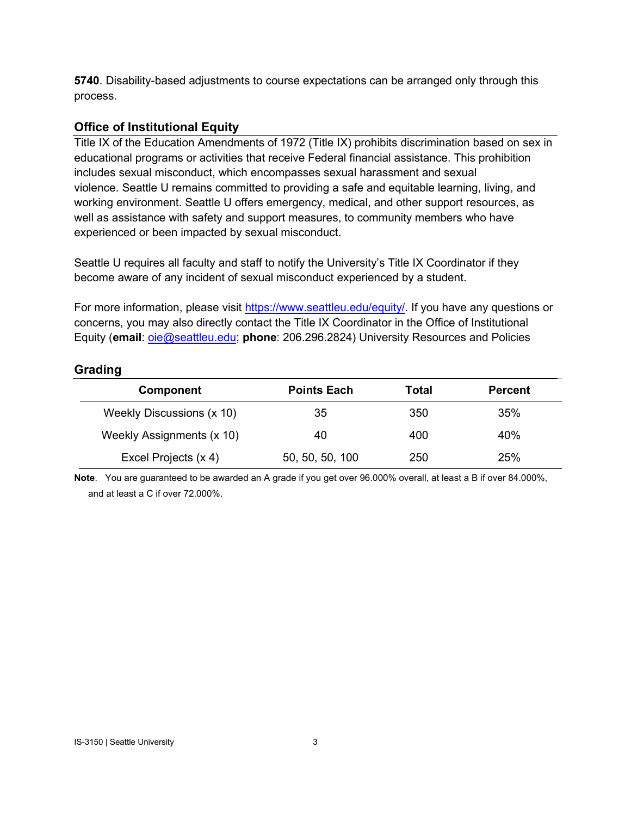**5740**. Disability-based adjustments to course expectations can be arranged only through this process.

## **Office of Institutional Equity**

Title IX of the Education Amendments of 1972 (Title IX) prohibits discrimination based on sex in educational programs or activities that receive Federal financial assistance. This prohibition includes sexual misconduct, which encompasses sexual harassment and sexual violence. Seattle U remains committed to providing a safe and equitable learning, living, and working environment. Seattle U offers emergency, medical, and other support resources, as well as assistance with safety and support measures, to community members who have experienced or been impacted by sexual misconduct.

Seattle U requires all faculty and staff to notify the University's Title IX Coordinator if they become aware of any incident of sexual misconduct experienced by a student.

For more information, please visit [https://www.seattleu.edu/equity/.](https://na01.safelinks.protection.outlook.com/?url=https%3A%2F%2Fwww.seattleu.edu%2Fequity%2F&data=02%7C01%7C%7Cc15e702ae47d4dc870eb08d612a54cb0%7Cbc10e052b01c48499967ee7ec74fc9d8%7C0%7C0%7C636716898496849213&sdata=Bbsyq8JUY6%2BDJ%2F3Bj6VvSLlnaxmuzUB2832zdfToc9o%3D&reserved=0) If you have any questions or concerns, you may also directly contact the Title IX Coordinator in the Office of Institutional Equity (**email**: [oie@seattleu.edu;](mailto:oie@seattleu.edu) **phone**: 206.296.2824) University Resources and Policies

#### **Grading**

| <b>Component</b>          | <b>Points Each</b> | Total | <b>Percent</b> |
|---------------------------|--------------------|-------|----------------|
| Weekly Discussions (x 10) | 35                 | 350   | 35%            |
| Weekly Assignments (x 10) | 40                 | 400   | 40%            |
| Excel Projects (x 4)      | 50, 50, 50, 100    | 250   | 25%            |

**Note**. You are guaranteed to be awarded an A grade if you get over 96.000% overall, at least a B if over 84.000%, and at least a C if over 72.000%.